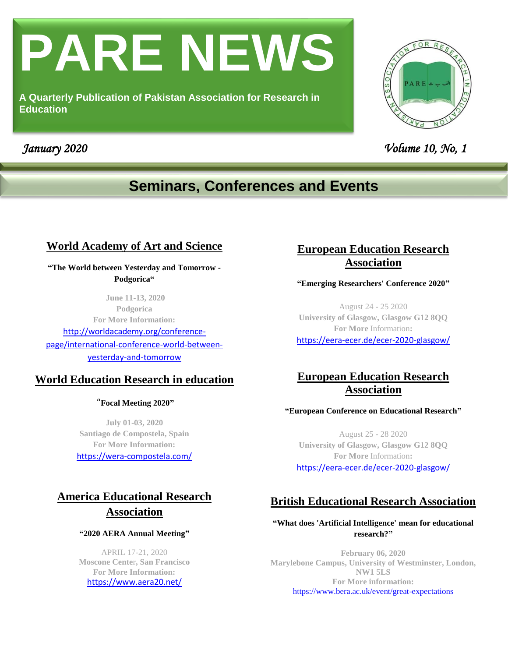# **PARE NEWS**

**A Quarterly Publication of Pakistan Association for Research in Education**



 *January 2020 Volume 10, No, 1* 

# **Seminars, Conferences and Events**

# **World Academy of Art and Science**

**"The World between Yesterday and Tomorrow - Podgorica"**

**June 11-13, 2020 Podgorica For More Information:** [http://worldacademy.org/conference-](http://worldacademy.org/conference-page/international-conference-world-between-yesterday-and-tomorrow)

[page/international-conference-world-between](http://worldacademy.org/conference-page/international-conference-world-between-yesterday-and-tomorrow)[yesterday-and-tomorrow](http://worldacademy.org/conference-page/international-conference-world-between-yesterday-and-tomorrow)

## **World Education Research in education**

"**Focal Meeting 2020"**

**July 01-03, 2020 Santiago de Compostela, Spain For More Information:** <https://wera-compostela.com/>

# **America Educational Research Association**

### **"2020 AERA Annual Meeting"**

APRIL 17-21, 2020 **[Moscone Cente](http://www.moscone.com/site/do/index)**r**, San Francisco For More Information:** <https://www.aera20.net/>

# **European Education Research Association**

### **"Emerging Researchers' Conference 2020"**

August 24 - 25 2020 **University of Glasgow, Glasgow G12 8QQ For More** Information**:**

<https://eera-ecer.de/ecer-2020-glasgow/>

# **European Education Research Association**

### **"European Conference on Educational Research"**

August 25 - 28 2020 **University of Glasgow, Glasgow G12 8QQ For More** Information**:** <https://eera-ecer.de/ecer-2020-glasgow/>

# **British Educational Research Association**

### **["What does 'Artificial Intelligence' mean for educational](https://www.bera.ac.uk/event-series/what-does-artificial-intelligence-mean-for-educational-research/)  [research?"](https://www.bera.ac.uk/event-series/what-does-artificial-intelligence-mean-for-educational-research/)**

**February 06, 2020 [Marylebone Campus, University of Westminster, London,](http://www.google.co.uk/maps/search/,+Marylebone+Campus,+University+of+Westminster,+London+,+NW1+5LS+)  [NW1 5LS](http://www.google.co.uk/maps/search/,+Marylebone+Campus,+University+of+Westminster,+London+,+NW1+5LS+)  For More information:** <https://www.bera.ac.uk/event/great-expectations>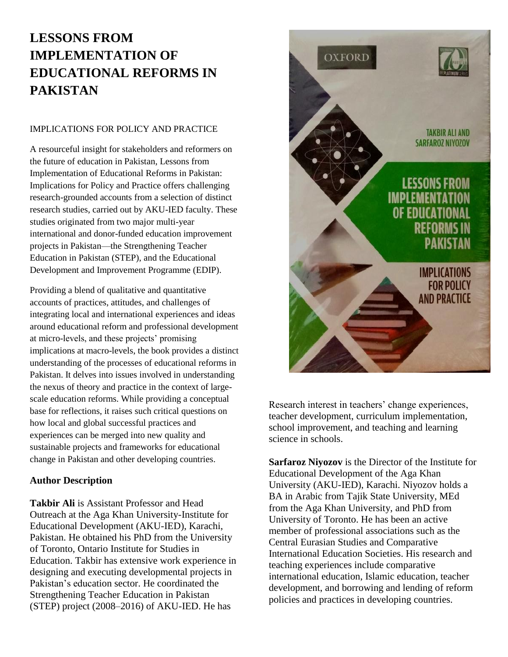# **LESSONS FROM IMPLEMENTATION OF EDUCATIONAL REFORMS IN PAKISTAN**

### IMPLICATIONS FOR POLICY AND PRACTICE

A resourceful insight for stakeholders and reformers on the future of education in Pakistan, Lessons from Implementation of Educational Reforms in Pakistan: Implications for Policy and Practice offers challenging research-grounded accounts from a selection of distinct research studies, carried out by AKU-IED faculty. These studies originated from two major multi-year international and donor-funded education improvement projects in Pakistan—the Strengthening Teacher Education in Pakistan (STEP), and the Educational Development and Improvement Programme (EDIP).

Providing a blend of qualitative and quantitative accounts of practices, attitudes, and challenges of integrating local and international experiences and ideas around educational reform and professional development at micro-levels, and these projects' promising implications at macro-levels, the book provides a distinct understanding of the processes of educational reforms in Pakistan. It delves into issues involved in understanding the nexus of theory and practice in the context of largescale education reforms. While providing a conceptual base for reflections, it raises such critical questions on how local and global successful practices and experiences can be merged into new quality and sustainable projects and frameworks for educational change in Pakistan and other developing countries.

### **Author Description**

**Takbir Ali** is Assistant Professor and Head Outreach at the Aga Khan University-Institute for Educational Development (AKU-IED), Karachi, Pakistan. He obtained his PhD from the University of Toronto, Ontario Institute for Studies in Education. Takbir has extensive work experience in designing and executing developmental projects in Pakistan's education sector. He coordinated the Strengthening Teacher Education in Pakistan (STEP) project (2008–2016) of AKU-IED. He has



Research interest in teachers' change experiences, teacher development, curriculum implementation, school improvement, and teaching and learning science in schools.

**Sarfaroz Niyozov** is the Director of the Institute for Educational Development of the Aga Khan University (AKU-IED), Karachi. Niyozov holds a BA in Arabic from Tajik State University, MEd from the Aga Khan University, and PhD from University of Toronto. He has been an active member of professional associations such as the Central Eurasian Studies and Comparative International Education Societies. His research and teaching experiences include comparative international education, Islamic education, teacher development, and borrowing and lending of reform policies and practices in developing countries.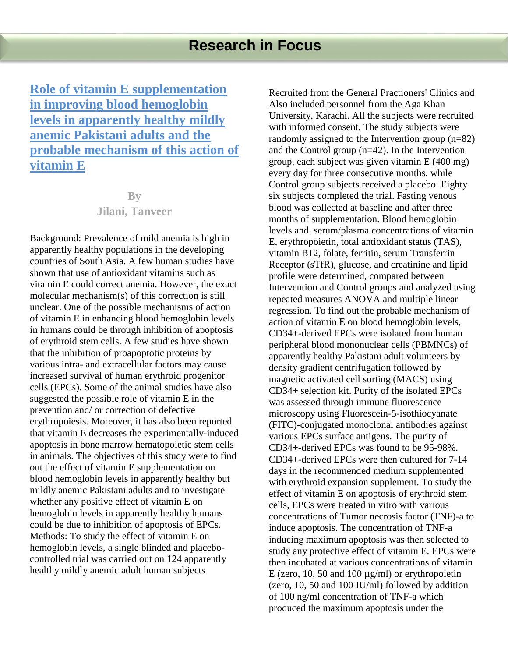**Role of vitamin E supplementation in improving blood hemoglobin levels in apparently healthy mildly anemic Pakistani adults and the probable mechanism of this action of vitamin E**

# **By Jilani, Tanveer**

Background: Prevalence of mild anemia is high in apparently healthy populations in the developing countries of South Asia. A few human studies have shown that use of antioxidant vitamins such as vitamin E could correct anemia. However, the exact molecular mechanism(s) of this correction is still unclear. One of the possible mechanisms of action of vitamin E in enhancing blood hemoglobin levels in humans could be through inhibition of apoptosis of erythroid stem cells. A few studies have shown that the inhibition of proapoptotic proteins by various intra- and extracellular factors may cause increased survival of human erythroid progenitor cells (EPCs). Some of the animal studies have also suggested the possible role of vitamin E in the prevention and/ or correction of defective erythropoiesis. Moreover, it has also been reported that vitamin E decreases the experimentally-induced apoptosis in bone marrow hematopoietic stem cells in animals. The objectives of this study were to find out the effect of vitamin E supplementation on blood hemoglobin levels in apparently healthy but mildly anemic Pakistani adults and to investigate whether any positive effect of vitamin E on hemoglobin levels in apparently healthy humans could be due to inhibition of apoptosis of EPCs. Methods: To study the effect of vitamin E on hemoglobin levels, a single blinded and placebocontrolled trial was carried out on 124 apparently healthy mildly anemic adult human subjects

Recruited from the General Practioners' Clinics and Also included personnel from the Aga Khan University, Karachi. All the subjects were recruited with informed consent. The study subjects were randomly assigned to the Intervention group (n=82) and the Control group (n=42). In the Intervention group, each subject was given vitamin E (400 mg) every day for three consecutive months, while Control group subjects received a placebo. Eighty six subjects completed the trial. Fasting venous blood was collected at baseline and after three months of supplementation. Blood hemoglobin levels and. serum/plasma concentrations of vitamin E, erythropoietin, total antioxidant status (TAS), vitamin B12, folate, ferritin, serum Transferrin Receptor (sTfR), glucose, and creatinine and lipid profile were determined, compared between Intervention and Control groups and analyzed using repeated measures ANOVA and multiple linear regression. To find out the probable mechanism of action of vitamin E on blood hemoglobin levels, CD34+-derived EPCs were isolated from human peripheral blood mononuclear cells (PBMNCs) of apparently healthy Pakistani adult volunteers by density gradient centrifugation followed by magnetic activated cell sorting (MACS) using CD34+ selection kit. Purity of the isolated EPCs was assessed through immune fluorescence microscopy using Fluorescein-5-isothiocyanate (FITC)-conjugated monoclonal antibodies against various EPCs surface antigens. The purity of CD34+-derived EPCs was found to be 95-98%. CD34+-derived EPCs were then cultured for 7-14 days in the recommended medium supplemented with erythroid expansion supplement. To study the effect of vitamin E on apoptosis of erythroid stem cells, EPCs were treated in vitro with various concentrations of Tumor necrosis factor (TNF)-a to induce apoptosis. The concentration of TNF-a inducing maximum apoptosis was then selected to study any protective effect of vitamin E. EPCs were then incubated at various concentrations of vitamin E (zero, 10, 50 and 100  $\mu$ g/ml) or erythropoietin (zero, 10, 50 and 100 IU/ml) followed by addition of 100 ng/ml concentration of TNF-a which produced the maximum apoptosis under the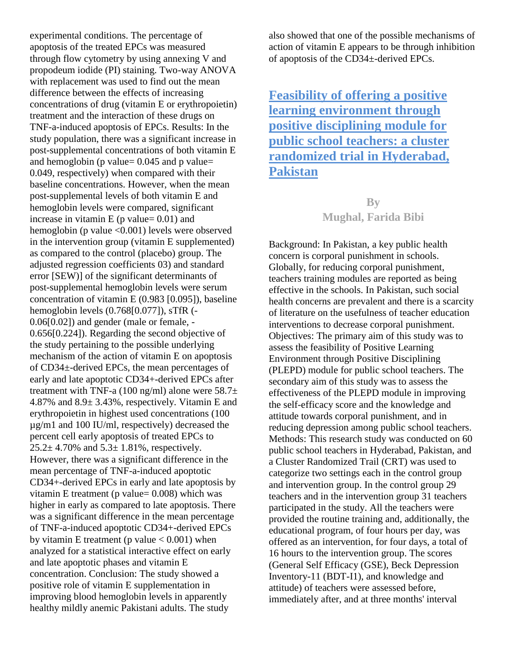experimental conditions. The percentage of apoptosis of the treated EPCs was measured through flow cytometry by using annexing V and propodeum iodide (PI) staining. Two-way ANOVA with replacement was used to find out the mean difference between the effects of increasing concentrations of drug (vitamin E or erythropoietin) treatment and the interaction of these drugs on TNF-a-induced apoptosis of EPCs. Results: In the study population, there was a significant increase in post-supplemental concentrations of both vitamin E and hemoglobin (p value=  $0.045$  and p value= 0.049, respectively) when compared with their baseline concentrations. However, when the mean post-supplemental levels of both vitamin E and hemoglobin levels were compared, significant increase in vitamin  $E$  (p value= 0.01) and hemoglobin (p value <0.001) levels were observed in the intervention group (vitamin E supplemented) as compared to the control (placebo) group. The adjusted regression coefficients 03) and standard error [SEW)] of the significant determinants of post-supplemental hemoglobin levels were serum concentration of vitamin E (0.983 [0.095]), baseline hemoglobin levels (0.768[0.077]), sTfR (- 0.06[0.02]) and gender (male or female, - 0.656[0.224]). Regarding the second objective of the study pertaining to the possible underlying mechanism of the action of vitamin E on apoptosis of CD34±-derived EPCs, the mean percentages of early and late apoptotic CD34+-derived EPCs after treatment with TNF-a (100 ng/ml) alone were  $58.7\pm$ 4.87% and 8.9± 3.43%, respectively. Vitamin E and erythropoietin in highest used concentrations (100 µg/m1 and 100 IU/ml, respectively) decreased the percent cell early apoptosis of treated EPCs to  $25.2 \pm 4.70\%$  and  $5.3 \pm 1.81\%$ , respectively. However, there was a significant difference in the mean percentage of TNF-a-induced apoptotic CD34+-derived EPCs in early and late apoptosis by vitamin E treatment ( $p$  value= 0.008) which was higher in early as compared to late apoptosis. There was a significant difference in the mean percentage of TNF-a-induced apoptotic CD34+-derived EPCs by vitamin E treatment (p value  $< 0.001$ ) when analyzed for a statistical interactive effect on early and late apoptotic phases and vitamin E concentration. Conclusion: The study showed a positive role of vitamin E supplementation in improving blood hemoglobin levels in apparently healthy mildly anemic Pakistani adults. The study

also showed that one of the possible mechanisms of action of vitamin E appears to be through inhibition of apoptosis of the CD34±-derived EPCs.

**Feasibility of offering a positive learning environment through positive disciplining module for public school teachers: a cluster randomized trial in Hyderabad, Pakistan**

# **By Mughal, Farida Bibi**

Background: In Pakistan, a key public health concern is corporal punishment in schools. Globally, for reducing corporal punishment, teachers training modules are reported as being effective in the schools. In Pakistan, such social health concerns are prevalent and there is a scarcity of literature on the usefulness of teacher education interventions to decrease corporal punishment. Objectives: The primary aim of this study was to assess the feasibility of Positive Learning Environment through Positive Disciplining (PLEPD) module for public school teachers. The secondary aim of this study was to assess the effectiveness of the PLEPD module in improving the self-efficacy score and the knowledge and attitude towards corporal punishment, and in reducing depression among public school teachers. Methods: This research study was conducted on 60 public school teachers in Hyderabad, Pakistan, and a Cluster Randomized Trail (CRT) was used to categorize two settings each in the control group and intervention group. In the control group 29 teachers and in the intervention group 31 teachers participated in the study. All the teachers were provided the routine training and, additionally, the educational program, of four hours per day, was offered as an intervention, for four days, a total of 16 hours to the intervention group. The scores (General Self Efficacy (GSE), Beck Depression Inventory-11 (BDT-I1), and knowledge and attitude) of teachers were assessed before, immediately after, and at three months' interval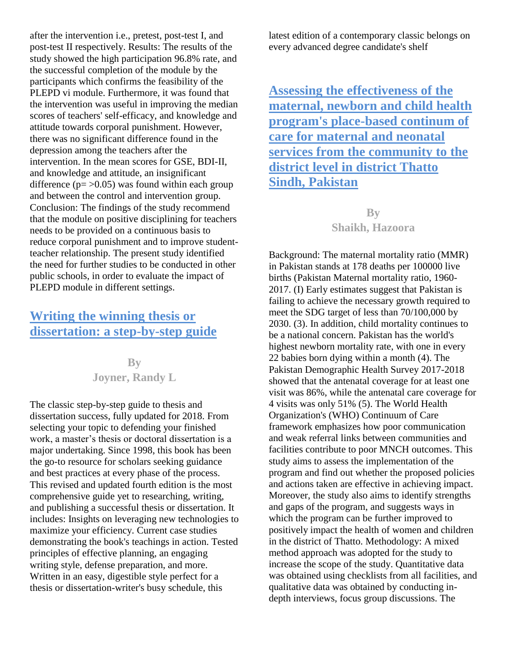after the intervention i.e., pretest, post-test I, and post-test II respectively. Results: The results of the study showed the high participation 96.8% rate, and the successful completion of the module by the participants which confirms the feasibility of the PLEPD vi module. Furthermore, it was found that the intervention was useful in improving the median scores of teachers' self-efficacy, and knowledge and attitude towards corporal punishment. However, there was no significant difference found in the depression among the teachers after the intervention. In the mean scores for GSE, BDI-II, and knowledge and attitude, an insignificant difference  $(p = 0.05)$  was found within each group and between the control and intervention group. Conclusion: The findings of the study recommend that the module on positive disciplining for teachers needs to be provided on a continuous basis to reduce corporal punishment and to improve studentteacher relationship. The present study identified the need for further studies to be conducted in other public schools, in order to evaluate the impact of PLEPD module in different settings.

# **Writing the winning thesis or dissertation: a step-by-step guide**

**By Joyner, Randy L**

The classic step-by-step guide to thesis and dissertation success, fully updated for 2018. From selecting your topic to defending your finished work, a master's thesis or doctoral dissertation is a major undertaking. Since 1998, this book has been the go-to resource for scholars seeking guidance and best practices at every phase of the process. This revised and updated fourth edition is the most comprehensive guide yet to researching, writing, and publishing a successful thesis or dissertation. It includes: Insights on leveraging new technologies to maximize your efficiency. Current case studies demonstrating the book's teachings in action. Tested principles of effective planning, an engaging writing style, defense preparation, and more. Written in an easy, digestible style perfect for a thesis or dissertation-writer's busy schedule, this

latest edition of a contemporary classic belongs on every advanced degree candidate's shelf

**Assessing the effectiveness of the maternal, newborn and child health program's place-based continum of care for maternal and neonatal services from the community to the district level in district Thatto Sindh, Pakistan**

> **By Shaikh, Hazoora**

Background: The maternal mortality ratio (MMR) in Pakistan stands at 178 deaths per 100000 live births (Pakistan Maternal mortality ratio, 1960- 2017. (I) Early estimates suggest that Pakistan is failing to achieve the necessary growth required to meet the SDG target of less than 70/100,000 by 2030. (3). In addition, child mortality continues to be a national concern. Pakistan has the world's highest newborn mortality rate, with one in every 22 babies born dying within a month (4). The Pakistan Demographic Health Survey 2017-2018 showed that the antenatal coverage for at least one visit was 86%, while the antenatal care coverage for 4 visits was only 51% (5). The World Health Organization's (WHO) Continuum of Care framework emphasizes how poor communication and weak referral links between communities and facilities contribute to poor MNCH outcomes. This study aims to assess the implementation of the program and find out whether the proposed policies and actions taken are effective in achieving impact. Moreover, the study also aims to identify strengths and gaps of the program, and suggests ways in which the program can be further improved to positively impact the health of women and children in the district of Thatto. Methodology: A mixed method approach was adopted for the study to increase the scope of the study. Quantitative data was obtained using checklists from all facilities, and qualitative data was obtained by conducting indepth interviews, focus group discussions. The